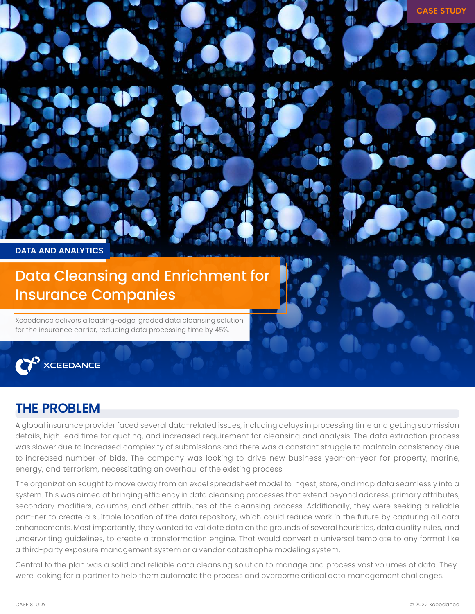

Xceedance delivers a leading-edge, graded data cleansing solution for the insurance carrier, reducing data processing time by 45%.



## **THE PROBLEM**

A global insurance provider faced several data-related issues, including delays in processing time and getting submission details, high lead time for quoting, and increased requirement for cleansing and analysis. The data extraction process was slower due to increased complexity of submissions and there was a constant struggle to maintain consistency due to increased number of bids. The company was looking to drive new business year-on-year for property, marine, energy, and terrorism, necessitating an overhaul of the existing process.

The organization sought to move away from an excel spreadsheet model to ingest, store, and map data seamlessly into a system. This was aimed at bringing efficiency in data cleansing processes that extend beyond address, primary attributes, secondary modifiers, columns, and other attributes of the cleansing process. Additionally, they were seeking a reliable part-ner to create a suitable location of the data repository, which could reduce work in the future by capturing all data enhancements. Most importantly, they wanted to validate data on the grounds of several heuristics, data quality rules, and underwriting guidelines, to create a transformation engine. That would convert a universal template to any format like a third-party exposure management system or a vendor catastrophe modeling system.

Central to the plan was a solid and reliable data cleansing solution to manage and process vast volumes of data. They were looking for a partner to help them automate the process and overcome critical data management challenges.